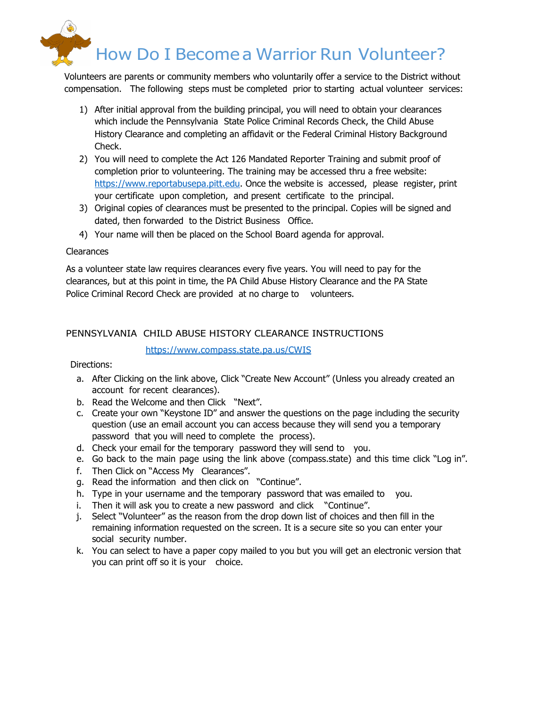

Volunteers are parents or community members who voluntarily offer a service to the District without compensation. The following steps must be completed prior to starting actual volunteer services:

- 1) After initial approval from the building principal, you will need to obtain your clearances which include the Pennsylvania State Police Criminal Records Check, the Child Abuse History Clearance and completing an affidavit or the Federal Criminal History Background Check.
- 2) You will need to complete the Act 126 Mandated Reporter Training and submit proof of completion prior to volunteering. The training may be accessed thru a free website: https://www.reportabusepa.pitt.edu. Once the website is accessed, please register, print your certificate upon completion, and present certificate to the principal.
- 3) Original copies of clearances must be presented to the principal. Copies will be signed and dated, then forwarded to the District Business Office.
- 4) Your name will then be placed on the School Board agenda for approval.

### Clearances

As a volunteer state law requires clearances every five years. You will need to pay for the clearances, but at this point in time, the PA Child Abuse History Clearance and the PA State Police Criminal Record Check are provided at no charge to volunteers.

# PENNSYLVANIA CHILD ABUSE HISTORY CLEARANCE INSTRUCTIONS

### https://www.compass.state.pa.us/CWIS

Directions:

- a. After Clicking on the link above, Click "Create New Account" (Unless you already created an account for recent clearances).
- b. Read the Welcome and then Click "Next".
- c. Create your own "Keystone ID" and answer the questions on the page including the security question (use an email account you can access because they will send you a temporary password that you will need to complete the process).
- d. Check your email for the temporary password they will send to you.
- e. Go back to the main page using the link above (compass.state) and this time click "Log in".
- f. Then Click on "Access My Clearances".
- g. Read the information and then click on "Continue".
- h. Type in your username and the temporary password that was emailed to you.
- i. Then it will ask you to create a new password and click "Continue".
- j. Select "Volunteer" as the reason from the drop down list of choices and then fill in the remaining information requested on the screen. It is a secure site so you can enter your social security number.
- k. You can select to have a paper copy mailed to you but you will get an electronic version that you can print off so it is your choice.